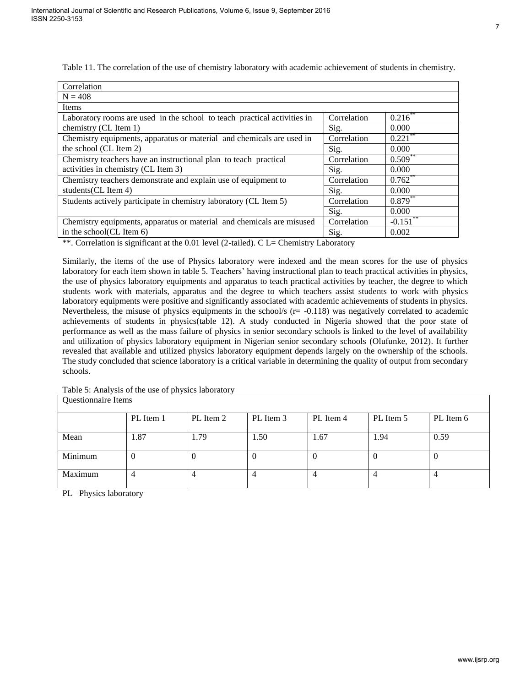| Correlation                                                              |             |                         |
|--------------------------------------------------------------------------|-------------|-------------------------|
| $N = 408$                                                                |             |                         |
| Items                                                                    |             |                         |
| Laboratory rooms are used in the school to teach practical activities in | Correlation | $0.21\overline{6}^{**}$ |
| chemistry (CL Item 1)                                                    | Sig.        | 0.000                   |
| Chemistry equipments, apparatus or material and chemicals are used in    | Correlation | $0.22\overline{1}^{**}$ |
| the school (CL Item 2)                                                   | Sig.        | 0.000                   |
| Chemistry teachers have an instructional plan to teach practical         | Correlation | $0.509***$              |
| activities in chemistry (CL Item 3)                                      | Sig.        | 0.000                   |
| Chemistry teachers demonstrate and explain use of equipment to           | Correlation | 0.762                   |
| students (CL Item 4)                                                     | Sig.        | 0.000                   |
| Students actively participate in chemistry laboratory (CL Item 5)        | Correlation | $0.879**$               |
|                                                                          | Sig.        | 0.000                   |
| Chemistry equipments, apparatus or material and chemicals are misused    | Correlation | $-0.151$ **             |
| in the school(CL Item 6)                                                 | Sig.        | 0.002                   |

Table 11. The correlation of the use of chemistry laboratory with academic achievement of students in chemistry.

\*\*. Correlation is significant at the 0.01 level (2-tailed). C L= Chemistry Laboratory

Similarly, the items of the use of Physics laboratory were indexed and the mean scores for the use of physics laboratory for each item shown in table 5. Teachers' having instructional plan to teach practical activities in physics, the use of physics laboratory equipments and apparatus to teach practical activities by teacher, the degree to which students work with materials, apparatus and the degree to which teachers assist students to work with physics laboratory equipments were positive and significantly associated with academic achievements of students in physics. Nevertheless, the misuse of physics equipments in the school/s  $(r = -0.118)$  was negatively correlated to academic achievements of students in physics(table 12). A study conducted in Nigeria showed that the poor state of performance as well as the mass failure of physics in senior secondary schools is linked to the level of availability and utilization of physics laboratory equipment in Nigerian senior secondary schools (Olufunke, 2012). It further revealed that available and utilized physics laboratory equipment depends largely on the ownership of the schools. The study concluded that science laboratory is a critical variable in determining the quality of output from secondary schools.

Table 5: Analysis of the use of physics laboratory

| Questionnaire Items |           |           |           |           |           |           |
|---------------------|-----------|-----------|-----------|-----------|-----------|-----------|
|                     | PL Item 1 | PL Item 2 | PL Item 3 | PL Item 4 | PL Item 5 | PL Item 6 |
| Mean                | 1.87      | 1.79      | 1.50      | 1.67      | 1.94      | 0.59      |
| Minimum             | $\theta$  | U         |           | U         |           |           |
| Maximum             |           | 4         |           | 4         |           |           |

PL –Physics laboratory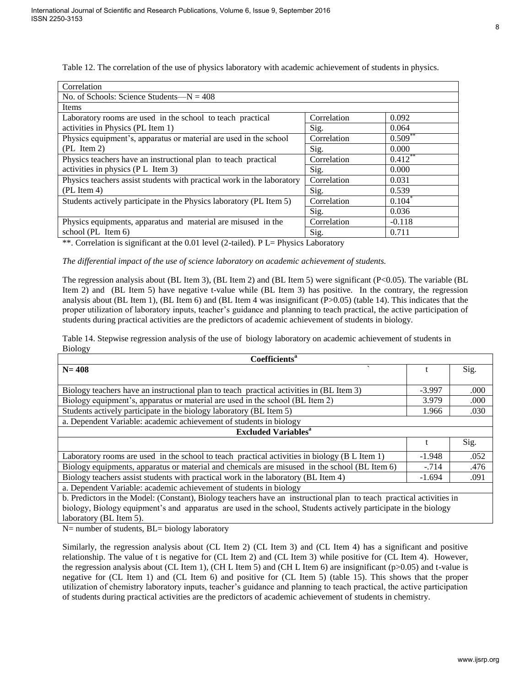| Correlation                                                            |             |                       |
|------------------------------------------------------------------------|-------------|-----------------------|
| No. of Schools: Science Students— $N = 408$                            |             |                       |
| Items                                                                  |             |                       |
| Laboratory rooms are used in the school to teach practical             | Correlation | 0.092                 |
| activities in Physics (PL Item 1)                                      | Sig.        | 0.064                 |
| Physics equipment's, apparatus or material are used in the school      | Correlation | $0.509$ <sup>**</sup> |
| $(PL \, Item \, 2)$                                                    | Sig.        | 0.000                 |
| Physics teachers have an instructional plan to teach practical         | Correlation | $0.412$ <sup>**</sup> |
| activities in physics (PL Item 3)                                      | Sig.        | 0.000                 |
| Physics teachers assist students with practical work in the laboratory | Correlation | 0.031                 |
| $(PL$ Item 4)                                                          | Sig.        | 0.539                 |
| Students actively participate in the Physics laboratory (PL Item 5)    | Correlation | $0.104^*$             |
|                                                                        | Sig.        | 0.036                 |
| Physics equipments, apparatus and material are misused in the          | Correlation | $-0.118$              |
| school (PL Item 6)                                                     | Sig.        | 0.711                 |

Table 12. The correlation of the use of physics laboratory with academic achievement of students in physics.

\*\*. Correlation is significant at the 0.01 level (2-tailed). P L= Physics Laboratory

*The differential impact of the use of science laboratory on academic achievement of students.* 

The regression analysis about (BL Item 3), (BL Item 2) and (BL Item 5) were significant (P<0.05). The variable (BL Item 2) and (BL Item 5) have negative t-value while (BL Item 3) has positive. In the contrary, the regression analysis about (BL Item 1), (BL Item 6) and (BL Item 4 was insignificant  $(P>0.05)$  (table 14). This indicates that the proper utilization of laboratory inputs, teacher's guidance and planning to teach practical, the active participation of students during practical activities are the predictors of academic achievement of students in biology.

Table 14. Stepwise regression analysis of the use of biology laboratory on academic achievement of students in Biology

| <b>Coefficients<sup>a</sup></b>                                                                                      |          |      |  |
|----------------------------------------------------------------------------------------------------------------------|----------|------|--|
| $\overline{\phantom{0}}$<br>$N = 408$                                                                                |          | Sig. |  |
|                                                                                                                      |          |      |  |
| Biology teachers have an instructional plan to teach practical activities in (BL Item 3)                             | $-3.997$ | .000 |  |
| Biology equipment's, apparatus or material are used in the school (BL Item 2)                                        | 3.979    | .000 |  |
| Students actively participate in the biology laboratory (BL Item 5)                                                  | 1.966    | .030 |  |
| a. Dependent Variable: academic achievement of students in biology                                                   |          |      |  |
| <b>Excluded Variables<sup>a</sup></b>                                                                                |          |      |  |
|                                                                                                                      | t.       | Sig. |  |
| Laboratory rooms are used in the school to teach practical activities in biology (B L Item 1)                        | $-1.948$ | .052 |  |
| Biology equipments, apparatus or material and chemicals are misused in the school (BL Item 6)                        | $-.714$  | .476 |  |
| Biology teachers assist students with practical work in the laboratory (BL Item 4)                                   | $-1.694$ | .091 |  |
| a. Dependent Variable: academic achievement of students in biology                                                   |          |      |  |
| b. Predictors in the Model: (Constant), Biology teachers have an instructional plan to teach practical activities in |          |      |  |
| biology, Biology equipment's and apparatus are used in the school, Students actively participate in the biology      |          |      |  |
| laboratory (BL Item 5).                                                                                              |          |      |  |

N= number of students, BL= biology laboratory

Similarly, the regression analysis about (CL Item 2) (CL Item 3) and (CL Item 4) has a significant and positive relationship. The value of t is negative for (CL Item 2) and (CL Item 3) while positive for (CL Item 4). However, the regression analysis about (CL Item 1), (CH L Item 5) and (CH L Item 6) are insignificant ( $p>0.05$ ) and t-value is negative for (CL Item 1) and (CL Item 6) and positive for (CL Item 5) (table 15). This shows that the proper utilization of chemistry laboratory inputs, teacher's guidance and planning to teach practical, the active participation of students during practical activities are the predictors of academic achievement of students in chemistry.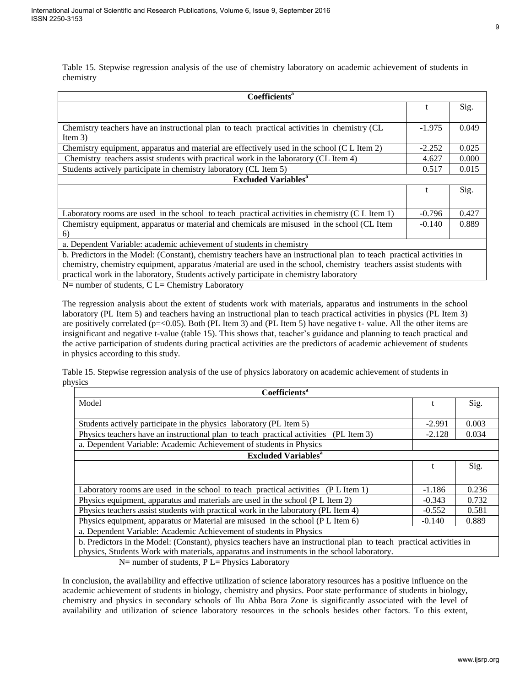Table 15. Stepwise regression analysis of the use of chemistry laboratory on academic achievement of students in chemistry

| Coefficients <sup>a</sup>                                                                                              |          |       |  |
|------------------------------------------------------------------------------------------------------------------------|----------|-------|--|
|                                                                                                                        | t        | Sig.  |  |
|                                                                                                                        |          |       |  |
| Chemistry teachers have an instructional plan to teach practical activities in chemistry (CL                           | $-1.975$ | 0.049 |  |
| Item $3)$                                                                                                              |          |       |  |
| Chemistry equipment, apparatus and material are effectively used in the school (C L Item 2)                            | $-2.252$ | 0.025 |  |
| Chemistry teachers assist students with practical work in the laboratory (CL Item 4)                                   | 4.627    | 0.000 |  |
| Students actively participate in chemistry laboratory (CL Item 5)                                                      | 0.517    | 0.015 |  |
| <b>Excluded Variables<sup>a</sup></b>                                                                                  |          |       |  |
|                                                                                                                        |          | Sig.  |  |
|                                                                                                                        |          |       |  |
| Laboratory rooms are used in the school to teach practical activities in chemistry (C L Item 1)                        | $-0.796$ | 0.427 |  |
| Chemistry equipment, apparatus or material and chemicals are misused in the school (CL Item                            | $-0.140$ | 0.889 |  |
| 6)                                                                                                                     |          |       |  |
| a. Dependent Variable: academic achievement of students in chemistry                                                   |          |       |  |
| b. Predictors in the Model: (Constant), chemistry teachers have an instructional plan to teach practical activities in |          |       |  |
| chemistry, chemistry equipment, apparatus/material are used in the school, chemistry teachers assist students with     |          |       |  |

practical work in the laboratory, Students actively participate in chemistry laboratory

N= number of students, C L= Chemistry Laboratory

The regression analysis about the extent of students work with materials, apparatus and instruments in the school laboratory (PL Item 5) and teachers having an instructional plan to teach practical activities in physics (PL Item 3) are positively correlated (p=<0.05). Both (PL Item 3) and (PL Item 5) have negative t- value. All the other items are insignificant and negative t-value (table 15). This shows that, teacher's guidance and planning to teach practical and the active participation of students during practical activities are the predictors of academic achievement of students in physics according to this study.

Table 15. Stepwise regression analysis of the use of physics laboratory on academic achievement of students in physics

| Coefficients <sup>a</sup>                                                                                            |          |       |  |
|----------------------------------------------------------------------------------------------------------------------|----------|-------|--|
| Model                                                                                                                |          | Sig.  |  |
|                                                                                                                      |          |       |  |
| Students actively participate in the physics laboratory (PL Item 5)                                                  | $-2.991$ | 0.003 |  |
| Physics teachers have an instructional plan to teach practical activities<br>$(PL$ Item 3)                           | $-2.128$ | 0.034 |  |
| a. Dependent Variable: Academic Achievement of students in Physics                                                   |          |       |  |
| <b>Excluded Variables</b> <sup>a</sup>                                                                               |          |       |  |
|                                                                                                                      |          | Sig.  |  |
|                                                                                                                      |          |       |  |
| Laboratory rooms are used in the school to teach practical activities (PL Item 1)                                    | $-1.186$ | 0.236 |  |
| Physics equipment, apparatus and materials are used in the school (P L Item 2)                                       | $-0.343$ | 0.732 |  |
| Physics teachers assist students with practical work in the laboratory (PL Item 4)                                   | $-0.552$ | 0.581 |  |
| Physics equipment, apparatus or Material are misused in the school (P L Item 6)                                      | $-0.140$ | 0.889 |  |
| a. Dependent Variable: Academic Achievement of students in Physics                                                   |          |       |  |
| b. Predictors in the Model: (Constant), physics teachers have an instructional plan to teach practical activities in |          |       |  |
| physics, Students Work with materials, apparatus and instruments in the school laboratory.                           |          |       |  |
| $N=$ number of students, P L= Physics Laboratory                                                                     |          |       |  |

In conclusion, the availability and effective utilization of science laboratory resources has a positive influence on the academic achievement of students in biology, chemistry and physics. Poor state performance of students in biology, chemistry and physics in secondary schools of Ilu Abba Bora Zone is significantly associated with the level of availability and utilization of science laboratory resources in the schools besides other factors. To this extent,